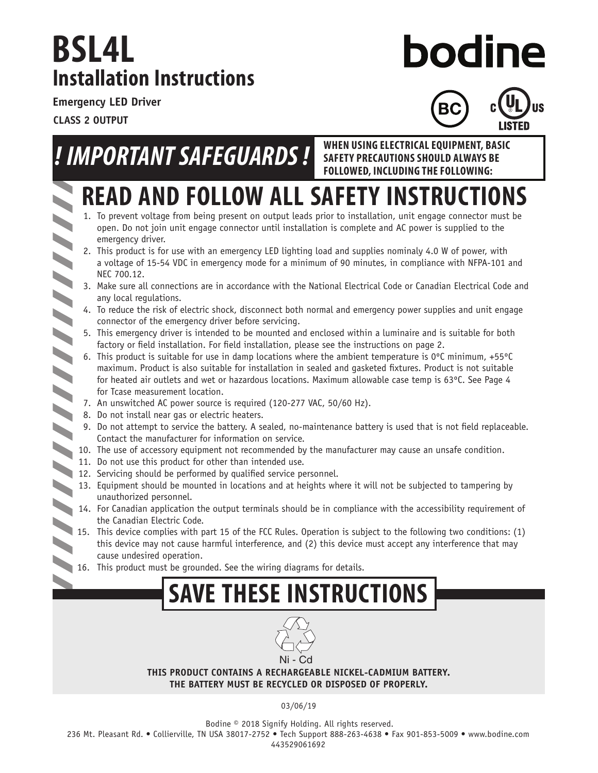### **Installation Instructions BSL4L**

# **bodine**

**SAFETY PRECAUTIONS SHOULD ALWAYS BE** 

**Emergency LED Driver**

**CLASS 2 OUTPUT**



# *! IMPORTANT SAFEGUARDS !* **WHEN USING ELECTRICAL EQUIPMENT, BASIC**

- **READ AND FOLLOW ALL SAFETY INSTRUCTIONS FOLLOWED, INCLUDING THE FOLLOWING:**
- 1. To prevent voltage from being present on output leads prior to installation, unit engage connector must be open. Do not join unit engage connector until installation is complete and AC power is supplied to the emergency driver.
- 2. This product is for use with an emergency LED lighting load and supplies nominaly 4.0 W of power, with a voltage of 15-54 VDC in emergency mode for a minimum of 90 minutes, in compliance with NFPA-101 and NEC 700.12.
- 3. Make sure all connections are in accordance with the National Electrical Code or Canadian Electrical Code and any local regulations.
- connector of the emergency driver before servicing.
- 5. This emergency driver is intended to be mounted and enclosed within a luminaire and is suitable for both factory or field installation. For field installation, please see the instructions on page 2.
- 4. To reduce the risk of electric shock, disconnect both normal and emergency power supplies and unit engage<br>connector of the emergency driver before servicing.<br>5. This emergency driver is intended to be mounted and enclos 6. This product is suitable for use in damp locations where the ambient temperature is  $0^{\circ}$ C minimum, +55 $^{\circ}$ C maximum. Product is also suitable for installation in sealed and gasketed fixtures. Product is not suitable for heated air outlets and wet or hazardous locations. Maximum allowable case temp is 63ºC. See Page 4 for Tcase measurement location.
	- 7. An unswitched AC power source is required (120-277 VAC, 50/60 Hz).
- 8. Do not install near gas or electric heaters.
	- 9. Do not attempt to service the battery. A sealed, no-maintenance battery is used that is not field replaceable. Contact the manufacturer for information on service.
- 10. The use of accessory equipment not recommended by the manufacturer may cause an unsafe condition.
	- 11. Do not use this product for other than intended use.
- 11. Do not use this product to service service service personnel.<br>12. Servicing should be performed by qualified service personnel.
	- 13. Equipment should be mounted in locations and at heights where it will not be subjected to tampering by unauthorized personnel.
	- 14. For Canadian application the output terminals should be in compliance with the accessibility requirement of the Canadian Electric Code.
	- 15. This device complies with part 15 of the FCC Rules. Operation is subject to the following two conditions: (1) this device may not cause harmful interference, and (2) this device must accept any interference that may cause undesired operation.
	- 16. This product must be grounded. See the wiring diagrams for details.

## **SAVE THESE INSTRUCTIONS**



#### **THIS PRODUCT CONTAINS A RECHARGEABLE NICKEL-CADMIUM BATTERY. THE BATTERY MUST BE RECYCLED OR DISPOSED OF PROPERLY.**

03/06/19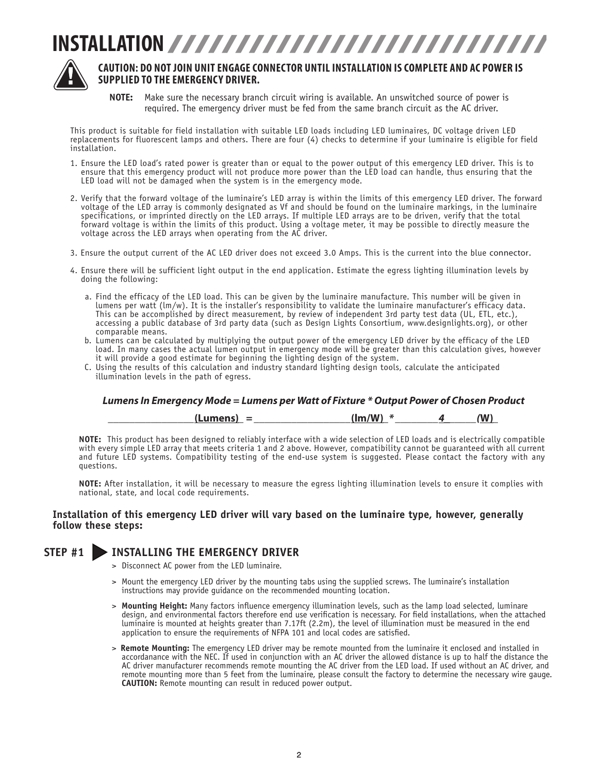### **INSTALLATION**



#### **CAUTION: DO NOT JOIN UNIT ENGAGE CONNECTOR UNTIL INSTALLATION IS COMPLETE AND AC POWER IS SUPPLIED TO THE EMERGENCY DRIVER.**

**NOTE:** Make sure the necessary branch circuit wiring is available. An unswitched source of power is required. The emergency driver must be fed from the same branch circuit as the AC driver.

 This product is suitable for field installation with suitable LED loads including LED luminaires, DC voltage driven LED replacements for fluorescent lamps and others. There are four (4) checks to determine if your luminaire is eligible for field installation.

- 1. Ensure the LED load's rated power is greater than or equal to the power output of this emergency LED driver. This is to ensure that this emergency product will not produce more power than the LED load can handle, thus ensuring that the LED load will not be damaged when the system is in the emergency mode.
- 2. Verify that the forward voltage of the luminaire's LED array is within the limits of this emergency LED driver. The forward voltage of the LED array is commonly designated as Vf and should be found on the luminaire markings, in the luminaire specifications, or imprinted directly on the LED arrays. If multiple LED arrays are to be driven, verify that the total forward voltage is within the limits of this product. Using a voltage meter, it may be possible to directly measure the voltage across the LED arrays when operating from the AC driver.
- 3. Ensure the output current of the AC LED driver does not exceed 3.0 Amps. This is the current into the blue connector.
- 4. Ensure there will be sufficient light output in the end application. Estimate the egress lighting illumination levels by doing the following:
	- a. Find the efficacy of the LED load. This can be given by the luminaire manufacture. This number will be given in lumens per watt (lm/w). It is the installer's responsibility to validate the luminaire manufacturer's efficacy data. This can be accomplished by direct measurement, by review of independent 3rd party test data (UL, ETL, etc.), accessing a public database of 3rd party data (such as Design Lights Consortium, www.designlights.org), or other comparable means.
	- b. Lumens can be calculated by multiplying the output power of the emergency LED driver by the efficacy of the LED load. In many cases the actual lumen output in emergency mode will be greater than this calculation gives, however it will provide a good estimate for beginning the lighting design of the system.
	- C. Using the results of this calculation and industry standard lighting design tools, calculate the anticipated illumination levels in the path of egress.

#### *Lumens In Emergency Mode = Lumens per Watt of Fixture \* Output Power of Chosen Product*

 *\_\_\_\_\_\_\_\_\_\_\_\_\_\_\_\_***(Lumens)***\_ = \_\_\_\_\_\_\_\_\_\_\_\_\_\_\_\_\_\_***(lm/W)***\_\* \_\_\_\_\_\_\_\_4\_\_\_\_\_\_(***W)***\_*

**NOTE:** This product has been designed to reliably interface with a wide selection of LED loads and is electrically compatible with every simple LED array that meets criteria 1 and 2 above. However, compatibility cannot be guaranteed with all current and future LED systems. Compatibility testing of the end-use system is suggested. Please contact the factory with any questions.

**NOTE:** After installation, it will be necessary to measure the egress lighting illumination levels to ensure it complies with national, state, and local code requirements.

#### **Installation of this emergency LED driver will vary based on the luminaire type, however, generally follow these steps:**

#### **STEP #1 INSTALLING THE EMERGENCY DRIVER**

- > Disconnect AC power from the LED luminaire.
- > Mount the emergency LED driver by the mounting tabs using the supplied screws. The luminaire's installation instructions may provide quidance on the recommended mounting location.
- > Mounting Height: Many factors influence emergency illumination levels, such as the lamp load selected, luminare design, and environmental factors therefore end use verification is necessary. For field installations, when the attached luminaire is mounted at heights greater than 7.17ft (2.2m), the level of illumination must be measured in the end application to ensure the requirements of NFPA 101 and local codes are satisfied.
- > **Remote Mounting:** The emergency LED driver may be remote mounted from the luminaire it enclosed and installed in accordanance with the NEC. If used in conjunction with an AC driver the allowed distance is up to half the distance the AC driver manufacturer recommends remote mounting the AC driver from the LED load. If used without an AC driver, and remote mounting more than 5 feet from the luminaire, please consult the factory to determine the necessary wire gauge. **CAUTION:** Remote mounting can result in reduced power output.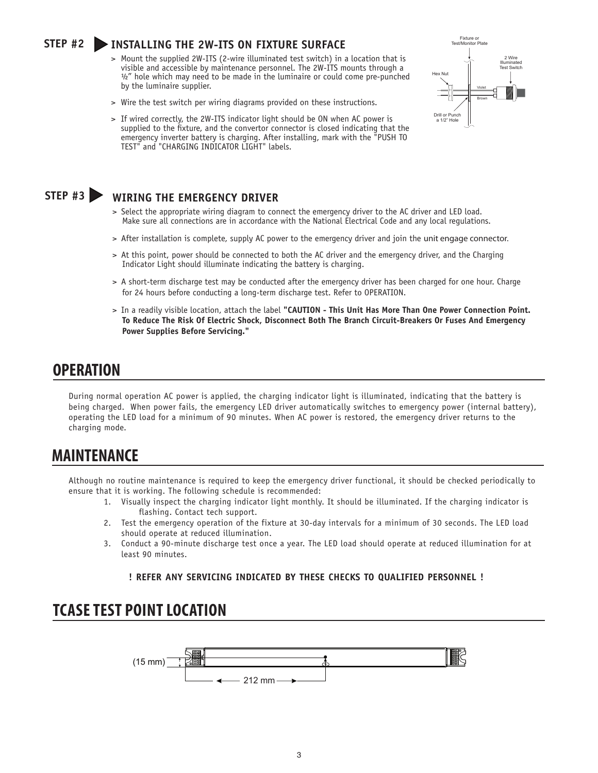#### **STEP #2 INSTALLING THE 2W-ITS ON FIXTURE SURFACE**

- > Mount the supplied 2W-ITS (2-wire illuminated test switch) in a location that is visible and accessible by maintenance personnel. The 2W-ITS mounts through a  $\frac{1}{2}$ " hole which may need to be made in the luminaire or could come pre-punched by the luminaire supplier.
- > Wire the test switch per wiring diagrams provided on these instructions.
- > If wired correctly, the 2W-ITS indicator light should be ON when AC power is supplied to the fixture, and the convertor connector is closed indicating that the emergency inverter battery is charging. After installing, mark with the "PUSH TO TEST" and "CHARGING INDICATOR LIGHT" labels.



#### **STEP #3 WIRING THE EMERGENCY DRIVER**

- > Select the appropriate wiring diagram to connect the emergency driver to the AC driver and LED load. Make sure all connections are in accordance with the National Electrical Code and any local regulations.
- > After installation is complete, supply AC power to the emergency driver and join the unit engage connector.
- > At this point, power should be connected to both the AC driver and the emergency driver, and the Charging Indicator Light should illuminate indicating the battery is charging.
- > A short-term discharge test may be conducted after the emergency driver has been charged for one hour. Charge for 24 hours before conducting a long-term discharge test. Refer to OPERATION.
- > In a readily visible location, attach the label **"CAUTION This Unit Has More Than One Power Connection Point. To Reduce The Risk Of Electric Shock, Disconnect Both The Branch Circuit-Breakers Or Fuses And Emergency Power Supplies Before Servicing."**

#### **OPERATION**

During normal operation AC power is applied, the charging indicator light is illuminated, indicating that the battery is being charged. When power fails, the emergency LED driver automatically switches to emergency power (internal battery), operating the LED load for a minimum of 90 minutes. When AC power is restored, the emergency driver returns to the charging mode.

#### **MAINTENANCE**

Although no routine maintenance is required to keep the emergency driver functional, it should be checked periodically to ensure that it is working. The following schedule is recommended:

- 1. Visually inspect the charging indicator light monthly. It should be illuminated. If the charging indicator is flashing. Contact tech support.
- 2. Test the emergency operation of the fixture at 30-day intervals for a minimum of 30 seconds. The LED load should operate at reduced illumination.
- 3. Conduct a 90-minute discharge test once a year. The LED load should operate at reduced illumination for at least 90 minutes.

#### **! REFER ANY SERVICING INDICATED BY THESE CHECKS TO QUALIFIED PERSONNEL !**

#### **TCASE TEST POINT LOCATION**